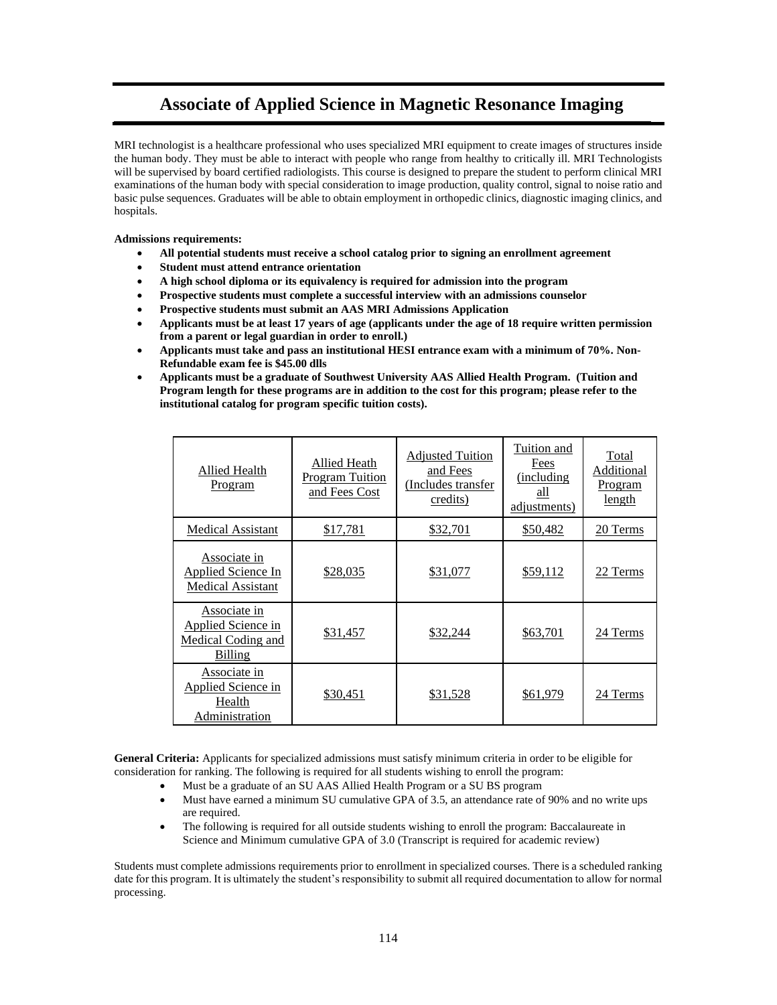# **Associate of Applied Science in Magnetic Resonance Imaging**

MRI technologist is a healthcare professional who uses specialized MRI equipment to create images of structures inside the human body. They must be able to interact with people who range from healthy to critically ill. MRI Technologists will be supervised by board certified radiologists. This course is designed to prepare the student to perform clinical MRI examinations of the human body with special consideration to image production, quality control, signal to noise ratio and basic pulse sequences. Graduates will be able to obtain employment in orthopedic clinics, diagnostic imaging clinics, and hospitals.

**Admissions requirements:**

- **All potential students must receive a school catalog prior to signing an enrollment agreement**
- **Student must attend entrance orientation**
- **A high school diploma or its equivalency is required for admission into the program**
- **Prospective students must complete a successful interview with an admissions counselor**
- **Prospective students must submit an AAS MRI Admissions Application**
- **Applicants must be at least 17 years of age (applicants under the age of 18 require written permission from a parent or legal guardian in order to enroll.)**
- **Applicants must take and pass an institutional HESI entrance exam with a minimum of 70%. Non-Refundable exam fee is \$45.00 dlls**
- **Applicants must be a graduate of Southwest University AAS Allied Health Program. (Tuition and Program length for these programs are in addition to the cost for this program; please refer to the institutional catalog for program specific tuition costs).**

| Allied Health<br>Program                                                   | <b>Allied Heath</b><br><b>Program Tuition</b><br>and Fees Cost | <b>Adjusted Tuition</b><br>and Fees<br>(Includes transfer<br>credits) | Tuition and<br>Fees<br>(including<br>all<br>adjustments) | Total<br>Additional<br><u>Program</u><br>length |
|----------------------------------------------------------------------------|----------------------------------------------------------------|-----------------------------------------------------------------------|----------------------------------------------------------|-------------------------------------------------|
| <b>Medical Assistant</b>                                                   | \$17,781                                                       | \$32,701                                                              | \$50,482                                                 | 20 Terms                                        |
| Associate in<br><b>Applied Science In</b><br><b>Medical Assistant</b>      | \$28,035                                                       | \$31,077                                                              | \$59,112                                                 | 22 Terms                                        |
| Associate in<br>Applied Science in<br><b>Medical Coding and</b><br>Billing | \$31,457                                                       | \$32,244                                                              | \$63,701                                                 | 24 Terms                                        |
| Associate in<br>Applied Science in<br>Health<br><b>Administration</b>      | \$30,451                                                       | \$31,528                                                              | \$61,979                                                 | 24 Terms                                        |

**General Criteria:** Applicants for specialized admissions must satisfy minimum criteria in order to be eligible for consideration for ranking. The following is required for all students wishing to enroll the program:

- Must be a graduate of an SU AAS Allied Health Program or a SU BS program
- Must have earned a minimum SU cumulative GPA of 3.5, an attendance rate of 90% and no write ups are required.
- The following is required for all outside students wishing to enroll the program: Baccalaureate in Science and Minimum cumulative GPA of 3.0 (Transcript is required for academic review)

Students must complete admissions requirements prior to enrollment in specialized courses. There is a scheduled ranking date for this program. It is ultimately the student's responsibility to submit all required documentation to allow for normal processing.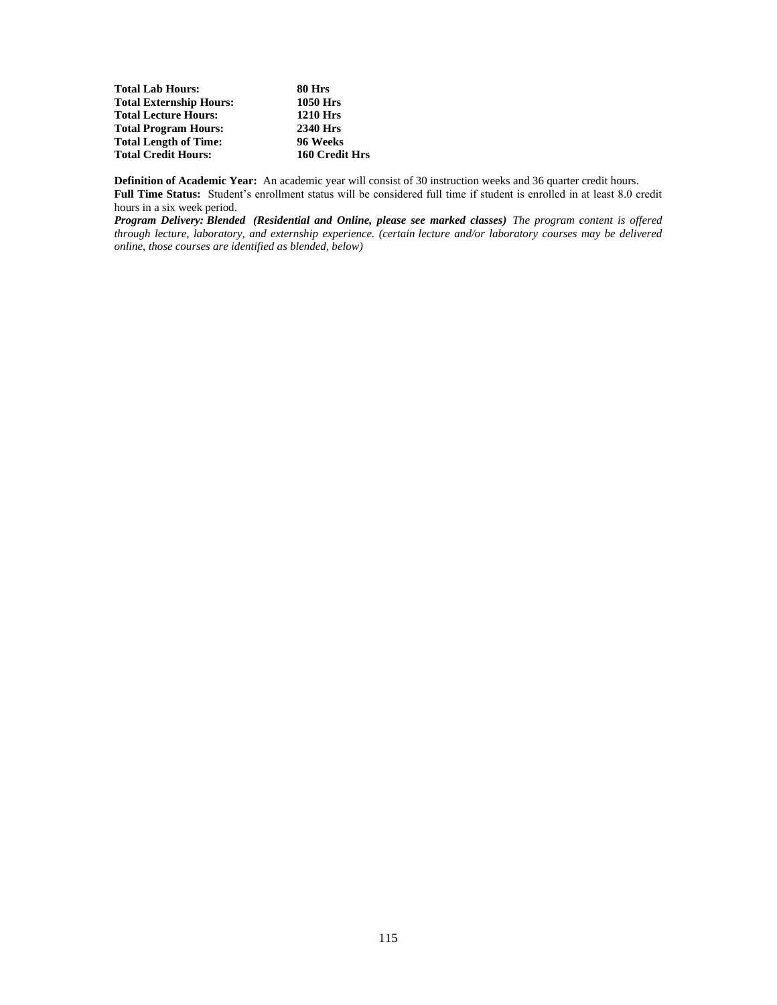| <b>Total Lab Hours:</b>        | 80 Hrs          |
|--------------------------------|-----------------|
| <b>Total Externship Hours:</b> | 1050 Hrs        |
| <b>Total Lecture Hours:</b>    | <b>1210 Hrs</b> |
| <b>Total Program Hours:</b>    | 2340 Hrs        |
| <b>Total Length of Time:</b>   | 96 Weeks        |
| <b>Total Credit Hours:</b>     | 160 Credit Hrs  |

**Definition of Academic Year:** An academic year will consist of 30 instruction weeks and 36 quarter credit hours. **Full Time Status:** Student's enrollment status will be considered full time if student is enrolled in at least 8.0 credit hours in a six week period.

*Program Delivery: Blended (Residential and Online, please see marked classes) The program content is offered through lecture, laboratory, and externship experience. (certain lecture and/or laboratory courses may be delivered online, those courses are identified as blended, below)*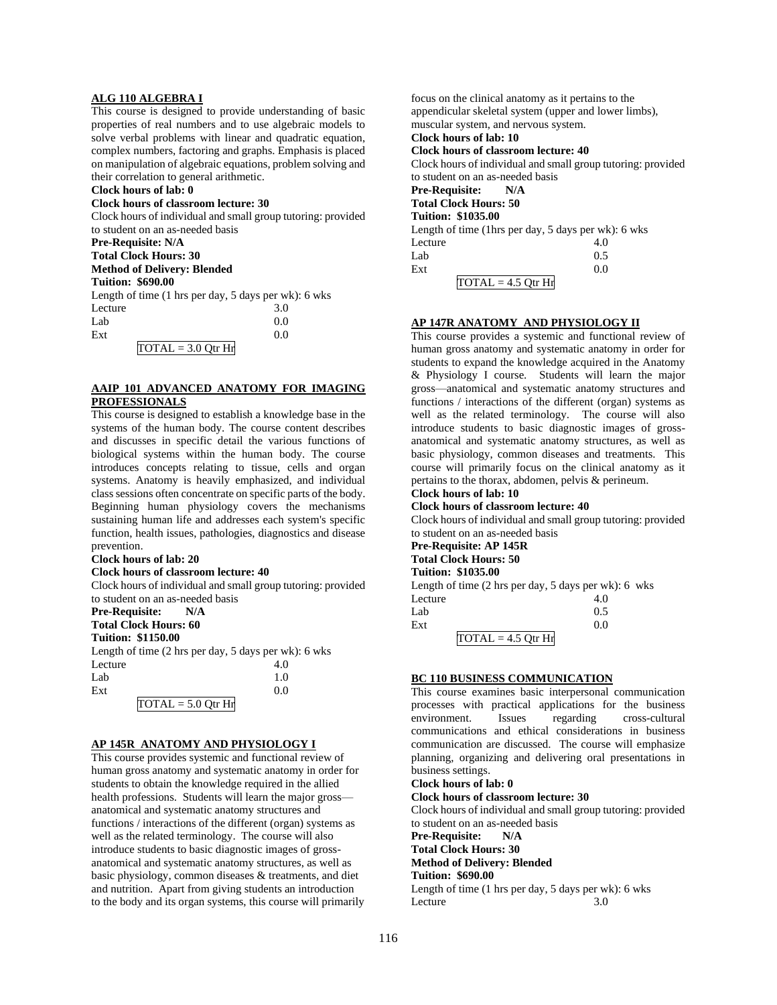#### **ALG 110 ALGEBRA I**

This course is designed to provide understanding of basic properties of real numbers and to use algebraic models to solve verbal problems with linear and quadratic equation, complex numbers, factoring and graphs. Emphasis is placed on manipulation of algebraic equations, problem solving and their correlation to general arithmetic.

## **Clock hours of lab: 0**

## **Clock hours of classroom lecture: 30**

Clock hours of individual and small group tutoring: provided to student on an as-needed basis

**Pre-Requisite: N/A** 

# **Total Clock Hours: 30**

**Method of Delivery: Blended**

# **Tuition: \$690.00**

Length of time (1 hrs per day, 5 days per wk): 6 wks Lecture 3.0  $Lab$  0.0  $\text{Ext}$  0.0

| 2A L |                                             |  |
|------|---------------------------------------------|--|
|      | $\text{TOTAL} = 3.0 \text{ Otr} \text{ Hr}$ |  |
|      |                                             |  |

# **AAIP 101 ADVANCED ANATOMY FOR IMAGING PROFESSIONALS**

This course is designed to establish a knowledge base in the systems of the human body. The course content describes and discusses in specific detail the various functions of biological systems within the human body. The course introduces concepts relating to tissue, cells and organ systems. Anatomy is heavily emphasized, and individual class sessions often concentrate on specific parts of the body. Beginning human physiology covers the mechanisms sustaining human life and addresses each system's specific function, health issues, pathologies, diagnostics and disease prevention.

# **Clock hours of lab: 20**

**Clock hours of classroom lecture: 40**

Clock hours of individual and small group tutoring: provided to student on an as-needed basis

# **Pre-Requisite: N/A**

**Total Clock Hours: 60**

# **Tuition: \$1150.00**

Length of time (2 hrs per day, 5 days per wk): 6 wks Lecture  $4.0$ 

| Lab |                                             | 1.0 |
|-----|---------------------------------------------|-----|
| Ext |                                             | 0.0 |
|     | $\overline{TOTAL} = 5.0 \overline{Q}$ tr Hr |     |

# **AP 145R ANATOMY AND PHYSIOLOGY I**

This course provides systemic and functional review of human gross anatomy and systematic anatomy in order for students to obtain the knowledge required in the allied health professions. Students will learn the major gross anatomical and systematic anatomy structures and functions / interactions of the different (organ) systems as well as the related terminology. The course will also introduce students to basic diagnostic images of grossanatomical and systematic anatomy structures, as well as basic physiology, common diseases & treatments, and diet and nutrition. Apart from giving students an introduction to the body and its organ systems, this course will primarily focus on the clinical anatomy as it pertains to the appendicular skeletal system (upper and lower limbs), muscular system, and nervous system. **Clock hours of lab: 10 Clock hours of classroom lecture: 40** Clock hours of individual and small group tutoring: provided to student on an as-needed basis

# **Pre-Requisite: N/A**

#### **Total Clock Hours: 50 Tuition: \$1035.00**

| тинон, этоээ.оо      |                                                     |
|----------------------|-----------------------------------------------------|
|                      | Length of time (1hrs per day, 5 days per wk): 6 wks |
| Lecture              | 4.0                                                 |
| Lab                  | 0.5                                                 |
| Ext                  | 0.0                                                 |
| $TOTAL = 4.5 Qtr Hr$ |                                                     |

# **AP 147R ANATOMY AND PHYSIOLOGY II**

This course provides a systemic and functional review of human gross anatomy and systematic anatomy in order for students to expand the knowledge acquired in the Anatomy & Physiology I course. Students will learn the major gross—anatomical and systematic anatomy structures and functions / interactions of the different (organ) systems as well as the related terminology. The course will also introduce students to basic diagnostic images of grossanatomical and systematic anatomy structures, as well as basic physiology, common diseases and treatments. This course will primarily focus on the clinical anatomy as it pertains to the thorax, abdomen, pelvis & perineum.

# **Clock hours of lab: 10**

# **Clock hours of classroom lecture: 40**

Clock hours of individual and small group tutoring: provided to student on an as-needed basis

#### **Pre-Requisite: AP 145R Total Clock Hours: 50**

#### **Tuition: \$1035.00**

Length of time (2 hrs per day, 5 days per wk): 6 wks

| Lecture |                      | 4.0 |
|---------|----------------------|-----|
| Lab     |                      | 0.5 |
| Ext     |                      | 0.0 |
|         | $TOTAL = 4.5 Qtr Hr$ |     |

### **BC 110 BUSINESS COMMUNICATION**

This course examines basic interpersonal communication processes with practical applications for the business cross-cultural communications and ethical considerations in business communication are discussed. The course will emphasize planning, organizing and delivering oral presentations in business settings.

#### **Clock hours of lab: 0**

#### **Clock hours of classroom lecture: 30**

Clock hours of individual and small group tutoring: provided to student on an as-needed basis

**Pre-Requisite: N/A** 

# **Total Clock Hours: 30**

**Method of Delivery: Blended**

**Tuition: \$690.00**

Length of time (1 hrs per day, 5 days per wk): 6 wks Lecture 3.0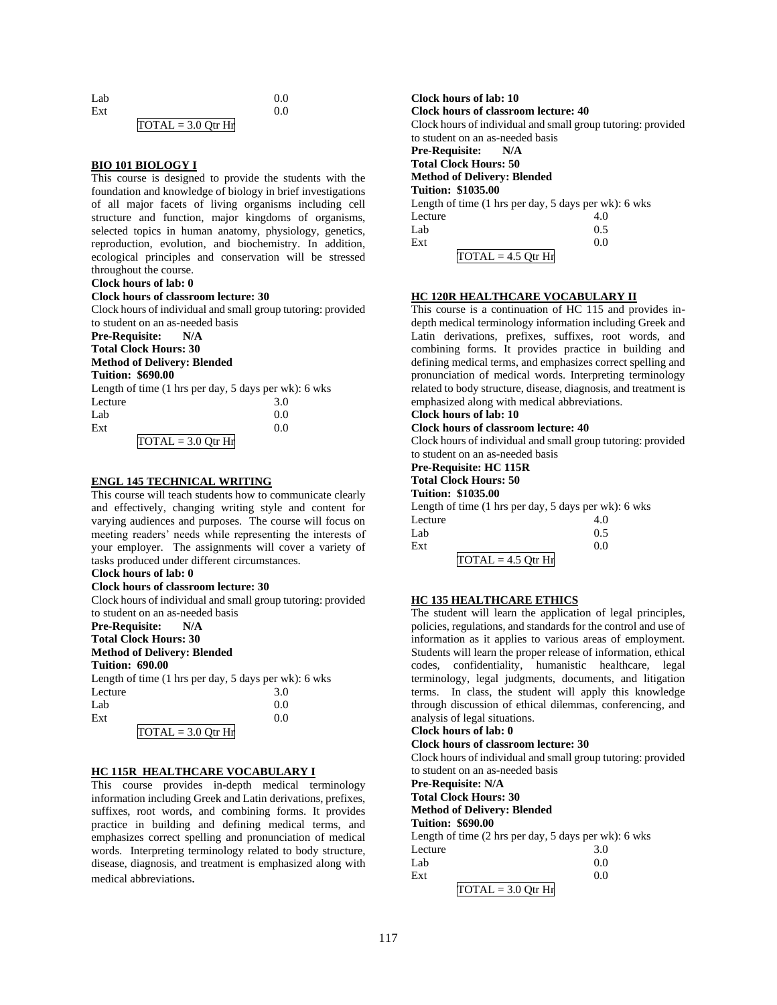| Lab |                      | 0.0 |
|-----|----------------------|-----|
| Ext |                      | 0.0 |
|     | $TOTAL = 3.0 Qtr Hr$ |     |

#### **BIO 101 BIOLOGY I**

This course is designed to provide the students with the foundation and knowledge of biology in brief investigations of all major facets of living organisms including cell structure and function, major kingdoms of organisms, selected topics in human anatomy, physiology, genetics, reproduction, evolution, and biochemistry. In addition, ecological principles and conservation will be stressed throughout the course.

# **Clock hours of lab: 0**

#### **Clock hours of classroom lecture: 30**

Clock hours of individual and small group tutoring: provided to student on an as-needed basis

**Pre-Requisite: N/A Total Clock Hours: 30**

# **Method of Delivery: Blended**

**Tuition: \$690.00** Length of time (1 hrs per day, 5 days per wk): 6 wks Lecture 3.0  $Lab$  0.0  $\text{Ext}$  0.0  $TOTAL = 3.0 Qtr Hr$ 

### **ENGL 145 TECHNICAL WRITING**

This course will teach students how to communicate clearly and effectively, changing writing style and content for varying audiences and purposes. The course will focus on meeting readers' needs while representing the interests of your employer. The assignments will cover a variety of tasks produced under different circumstances.

# **Clock hours of lab: 0**

## **Clock hours of classroom lecture: 30**

Clock hours of individual and small group tutoring: provided to student on an as-needed basis

#### **Pre-Requisite: N/A**

**Total Clock Hours: 30**

# **Method of Delivery: Blended**

**Tuition: 690.00**

Length of time (1 hrs per day, 5 days per wk): 6 wks

| Lecture              | 3.0 |
|----------------------|-----|
| Lab                  | 0.0 |
| Ext                  | 0.0 |
| $TOTAL = 3.0 Qtr Hr$ |     |

## **HC 115R HEALTHCARE VOCABULARY I**

This course provides in-depth medical terminology information including Greek and Latin derivations, prefixes, suffixes, root words, and combining forms. It provides practice in building and defining medical terms, and emphasizes correct spelling and pronunciation of medical words. Interpreting terminology related to body structure, disease, diagnosis, and treatment is emphasized along with medical abbreviations*.*

**Clock hours of lab: 10 Clock hours of classroom lecture: 40** Clock hours of individual and small group tutoring: provided to student on an as-needed basis **Pre-Requisite: N/A Total Clock Hours: 50 Method of Delivery: Blended Tuition: \$1035.00** Length of time (1 hrs per day, 5 days per wk): 6 wks Lecture 4.0<br>Lab 0.5  $Lab$  0.5  $\text{Ext}$  0.0

#### **HC 120R HEALTHCARE VOCABULARY II**

 $TOTAL = 4.5$  Otr Hr

This course is a continuation of HC 115 and provides indepth medical terminology information including Greek and Latin derivations, prefixes, suffixes, root words, and combining forms. It provides practice in building and defining medical terms, and emphasizes correct spelling and pronunciation of medical words. Interpreting terminology related to body structure, disease, diagnosis, and treatment is emphasized along with medical abbreviations.

#### **Clock hours of lab: 10**

#### **Clock hours of classroom lecture: 40**

Clock hours of individual and small group tutoring: provided to student on an as-needed basis

# **Pre-Requisite: HC 115R**

# **Total Clock Hours: 50**

**Tuition: \$1035.00**

Length of time (1 hrs per day, 5 days per wk): 6 wks

| Lecture              | 4.0 |
|----------------------|-----|
| Lab                  | 0.5 |
| Ext                  | 0.0 |
| $TOTAL = 4.5 Qtr Hr$ |     |

### **HC 135 HEALTHCARE ETHICS**

The student will learn the application of legal principles, policies, regulations, and standards for the control and use of information as it applies to various areas of employment. Students will learn the proper release of information, ethical codes, confidentiality, humanistic healthcare, legal terminology, legal judgments, documents, and litigation terms. In class, the student will apply this knowledge through discussion of ethical dilemmas, conferencing, and analysis of legal situations.

# **Clock hours of lab: 0**

## **Clock hours of classroom lecture: 30**

Clock hours of individual and small group tutoring: provided to student on an as-needed basis

**Pre-Requisite: N/A**

# **Total Clock Hours: 30**

**Method of Delivery: Blended**

# **Tuition: \$690.00**

| Length of time $(2 \text{ hrs per day}, 5 \text{ days per wk})$ : 6 wks |     |
|-------------------------------------------------------------------------|-----|
| Lecture                                                                 | 3.0 |
| Lab                                                                     | 0.0 |
| Ext                                                                     | 0.0 |
| $TOTAL = 3.0 Qtr Hr$                                                    |     |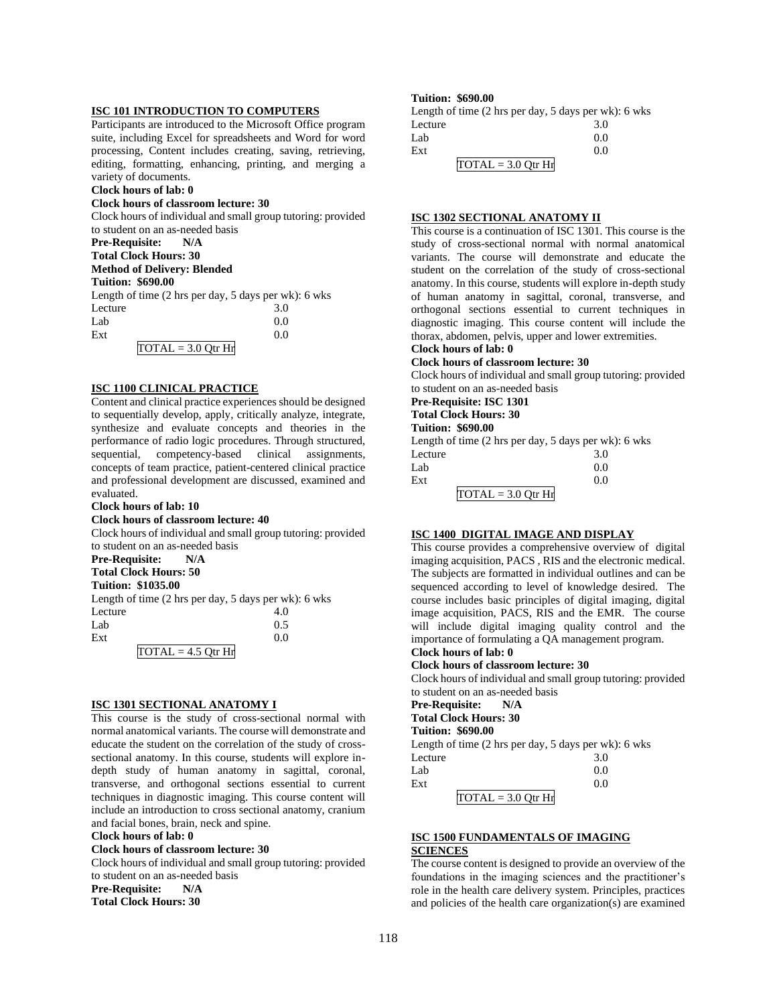# **ISC 101 INTRODUCTION TO COMPUTERS**

Participants are introduced to the Microsoft Office program suite, including Excel for spreadsheets and Word for word processing, Content includes creating, saving, retrieving, editing, formatting, enhancing, printing, and merging a variety of documents.

#### **Clock hours of lab: 0**

### **Clock hours of classroom lecture: 30**

Clock hours of individual and small group tutoring: provided to student on an as-needed basis

**Pre-Requisite: N/A**

#### **Total Clock Hours: 30**

**Method of Delivery: Blended**

# **Tuition: \$690.00**

Length of time (2 hrs per day, 5 days per wk): 6 wks Lecture  $\begin{array}{cc} 3.0 \\ I \text{ sh} \end{array}$  0.0  $Lab$  0.0

| LaD. |                      | v.v |
|------|----------------------|-----|
| Ext  |                      | 0.0 |
|      | $TOTAL = 3.0$ Otr Hr |     |

#### **ISC 1100 CLINICAL PRACTICE**

Content and clinical practice experiences should be designed to sequentially develop, apply, critically analyze, integrate, synthesize and evaluate concepts and theories in the performance of radio logic procedures. Through structured, sequential, competency-based clinical assignments, concepts of team practice, patient-centered clinical practice and professional development are discussed, examined and evaluated.

#### **Clock hours of lab: 10**

#### **Clock hours of classroom lecture: 40**

Clock hours of individual and small group tutoring: provided to student on an as-needed basis

## **Pre-Requisite: N/A**

**Total Clock Hours: 50**

#### **Tuition: \$1035.00**

Length of time (2 hrs per day, 5 days per wk): 6 wks Lecture 4.0<br>Lab 0.5  $Lab$  0.5  $\text{Ext}$  0.0  $TOTAL = 4.5$  Qtr Hr

## **ISC 1301 SECTIONAL ANATOMY I**

This course is the study of cross-sectional normal with normal anatomical variants. The course will demonstrate and educate the student on the correlation of the study of crosssectional anatomy. In this course, students will explore indepth study of human anatomy in sagittal, coronal, transverse, and orthogonal sections essential to current techniques in diagnostic imaging. This course content will include an introduction to cross sectional anatomy, cranium and facial bones, brain, neck and spine.

**Clock hours of lab: 0** 

#### **Clock hours of classroom lecture: 30**

Clock hours of individual and small group tutoring: provided to student on an as-needed basis

**Pre-Requisite: N/A Total Clock Hours: 30**

## **Tuition: \$690.00**

Length of time (2 hrs per day, 5 days per wk): 6 wks Lecture 3.0  $Lab$  0.0  $\text{Ext}$  0.0  $TOTAL = 3.0 Qtr Hr$ 

### **ISC 1302 SECTIONAL ANATOMY II**

This course is a continuation of ISC 1301. This course is the study of cross-sectional normal with normal anatomical variants. The course will demonstrate and educate the student on the correlation of the study of cross-sectional anatomy. In this course, students will explore in-depth study of human anatomy in sagittal, coronal, transverse, and orthogonal sections essential to current techniques in diagnostic imaging. This course content will include the thorax, abdomen, pelvis, upper and lower extremities. **Clock hours of lab: 0** 

# **Clock hours of classroom lecture: 30**

Clock hours of individual and small group tutoring: provided to student on an as-needed basis

# **Pre-Requisite: ISC 1301**

# **Total Clock Hours: 30**

**Tuition: \$690.00** Length of time (2 hrs per day, 5 days per wk): 6 wks Lecture 3.0<br>Lab 0.0  $Lab$  0.0  $\text{Ext}$  0.0

| $TOTAL = 3.0 Qtr Hr$ |  |
|----------------------|--|
|                      |  |

# **ISC 1400 DIGITAL IMAGE AND DISPLAY**

This course provides a comprehensive overview of digital imaging acquisition, PACS , RIS and the electronic medical. The subjects are formatted in individual outlines and can be sequenced according to level of knowledge desired. The course includes basic principles of digital imaging, digital image acquisition, PACS, RIS and the EMR. The course will include digital imaging quality control and the importance of formulating a QA management program. **Clock hours of lab: 0** 

# **Clock hours of classroom lecture: 30**

Clock hours of individual and small group tutoring: provided to student on an as-needed basis

**Pre-Requisite: N/A**

**Total Clock Hours: 30**

#### **Tuition: \$690.00**

Length of time (2 hrs per day, 5 days per wk): 6 wks Lecture 3.0  $Lab$  0.0  $\text{Ext}$  0.0

 $TOTAL = 3.0 Qtr Hr$ 

# **ISC 1500 FUNDAMENTALS OF IMAGING**

# **SCIENCES**

The course content is designed to provide an overview of the foundations in the imaging sciences and the practitioner's role in the health care delivery system. Principles, practices and policies of the health care organization(s) are examined

118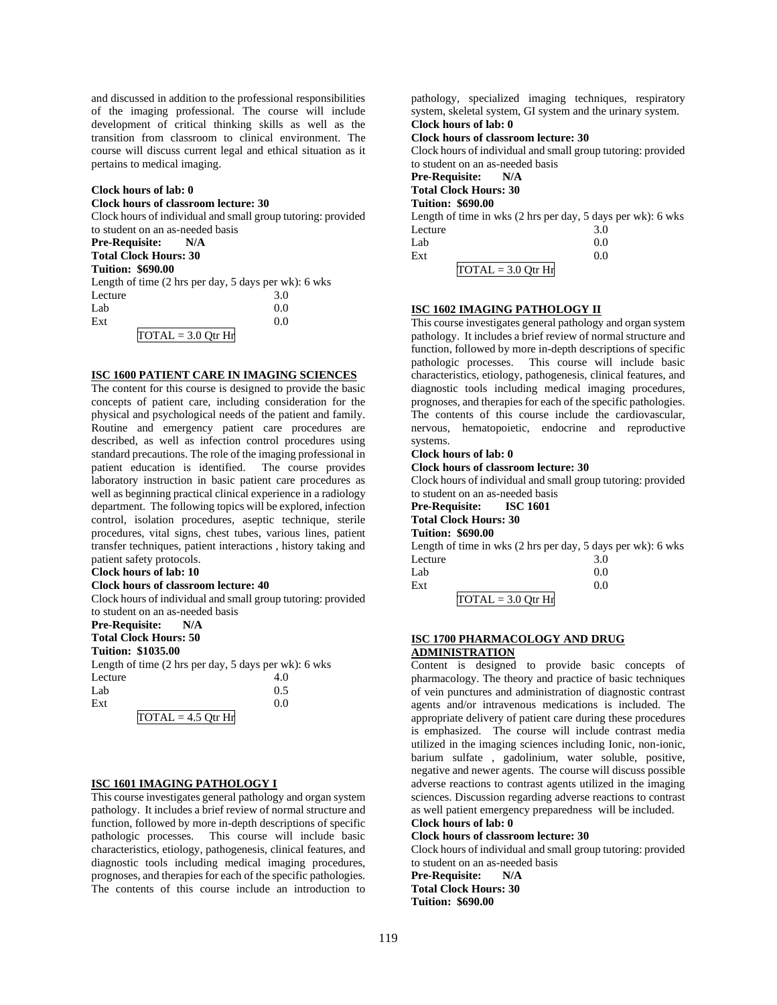and discussed in addition to the professional responsibilities of the imaging professional. The course will include development of critical thinking skills as well as the transition from classroom to clinical environment. The course will discuss current legal and ethical situation as it pertains to medical imaging.

#### **Clock hours of lab: 0**

#### **Clock hours of classroom lecture: 30**

Clock hours of individual and small group tutoring: provided to student on an as-needed basis **Pre-Requisite: N/A Total Clock Hours: 30 Tuition: \$690.00** Length of time (2 hrs per day, 5 days per wk): 6 wks Lecture 3.0  $Lab$  0.0  $\text{Ext}$  0.0  $\overline{TOTAL} = 3.0$  Otr Hr

#### **ISC 1600 PATIENT CARE IN IMAGING SCIENCES**

The content for this course is designed to provide the basic concepts of patient care, including consideration for the physical and psychological needs of the patient and family. Routine and emergency patient care procedures are described, as well as infection control procedures using standard precautions. The role of the imaging professional in patient education is identified. The course provides laboratory instruction in basic patient care procedures as well as beginning practical clinical experience in a radiology department. The following topics will be explored, infection control, isolation procedures, aseptic technique, sterile procedures, vital signs, chest tubes, various lines, patient transfer techniques, patient interactions , history taking and patient safety protocols.

#### **Clock hours of lab: 10**

# **Clock hours of classroom lecture: 40**

Clock hours of individual and small group tutoring: provided to student on an as-needed basis

# **Pre-Requisite: N/A**

**Total Clock Hours: 50**

# **Tuition: \$1035.00**

Length of time (2 hrs per day, 5 days per wk): 6 wks Lecture 4.0  $Lab$  0.5  $\text{Ext}$  0.0  $T\Omega TAT = 4.5 \Omega_{tr} H$ 

|  | $IUML = 4.3 UITI$ |  |  |
|--|-------------------|--|--|
|  |                   |  |  |

#### **ISC 1601 IMAGING PATHOLOGY I**

This course investigates general pathology and organ system pathology. It includes a brief review of normal structure and function, followed by more in-depth descriptions of specific pathologic processes. This course will include basic characteristics, etiology, pathogenesis, clinical features, and diagnostic tools including medical imaging procedures, prognoses, and therapies for each of the specific pathologies. The contents of this course include an introduction to

pathology, specialized imaging techniques, respiratory system, skeletal system, GI system and the urinary system. **Clock hours of lab: 0 Clock hours of classroom lecture: 30** Clock hours of individual and small group tutoring: provided to student on an as-needed basis **Pre-Requisite: N/A Total Clock Hours: 30 Tuition: \$690.00** Length of time in wks (2 hrs per day, 5 days per wk): 6 wks Lecture 3.0  $Lab$  0.0  $\text{Ext}$  0.0  $\overline{TOTAL} = 3.0$  Otr Hr

#### **ISC 1602 IMAGING PATHOLOGY II**

This course investigates general pathology and organ system pathology. It includes a brief review of normal structure and function, followed by more in-depth descriptions of specific pathologic processes. This course will include basic characteristics, etiology, pathogenesis, clinical features, and diagnostic tools including medical imaging procedures, prognoses, and therapies for each of the specific pathologies. The contents of this course include the cardiovascular, nervous, hematopoietic, endocrine and reproductive systems.

## **Clock hours of lab: 0**

**Clock hours of classroom lecture: 30**

Clock hours of individual and small group tutoring: provided to student on an as-needed basis

**Pre-Requisite: ISC 1601**

# **Total Clock Hours: 30**

**Tuition: \$690.00**

Length of time in wks (2 hrs per day, 5 days per wk): 6 wks Lecture 3.0  $Lab$  0.0

| Ext |                      |  |
|-----|----------------------|--|
|     | $TOTAL = 3.0$ Otr Hr |  |

#### **ISC 1700 PHARMACOLOGY AND DRUG ADMINISTRATION**

Content is designed to provide basic concepts of pharmacology. The theory and practice of basic techniques of vein punctures and administration of diagnostic contrast agents and/or intravenous medications is included. The appropriate delivery of patient care during these procedures is emphasized. The course will include contrast media utilized in the imaging sciences including Ionic, non-ionic, barium sulfate , gadolinium, water soluble, positive, negative and newer agents. The course will discuss possible adverse reactions to contrast agents utilized in the imaging sciences. Discussion regarding adverse reactions to contrast as well patient emergency preparedness will be included.

# **Clock hours of lab: 0**

# **Clock hours of classroom lecture: 30**

Clock hours of individual and small group tutoring: provided to student on an as-needed basis

**Pre-Requisite: N/A Total Clock Hours: 30 Tuition: \$690.00**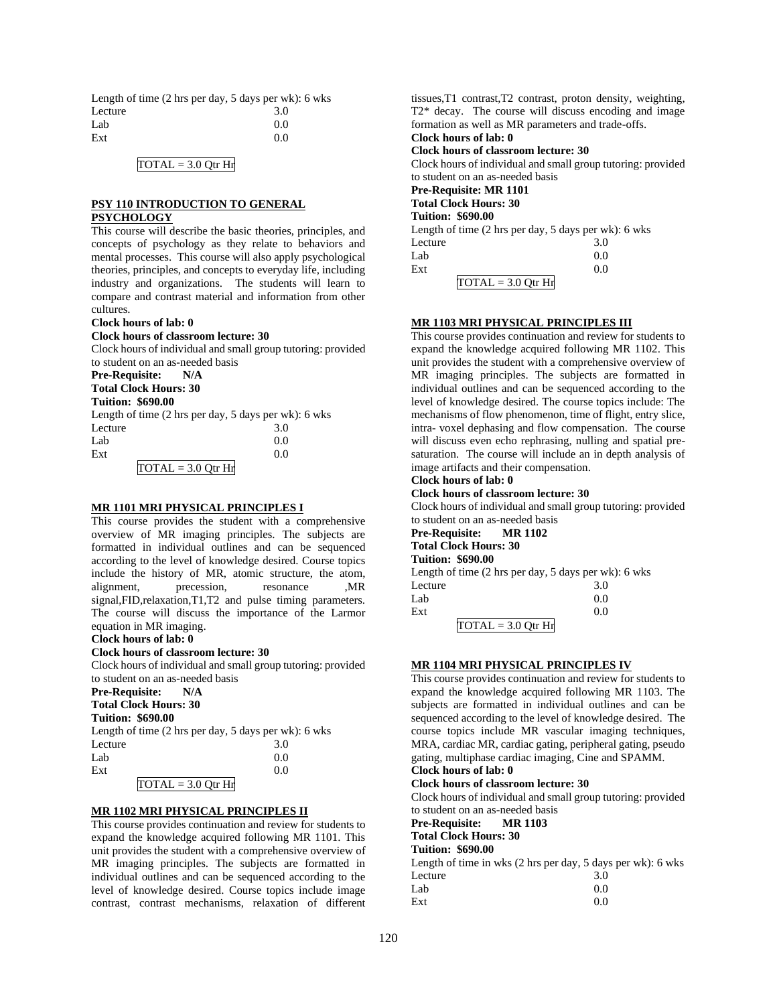| Length of time $(2 \text{ hrs per day}, 5 \text{ days per wk})$ : 6 wks |     |
|-------------------------------------------------------------------------|-----|
| Lecture                                                                 | 3.0 |
| Lab                                                                     | 0.0 |
| Ext                                                                     | 0.0 |

#### $TOTAL = 3.0 Qtr Hr$

#### **PSY 110 INTRODUCTION TO GENERAL PSYCHOLOGY**

This course will describe the basic theories, principles, and concepts of psychology as they relate to behaviors and mental processes. This course will also apply psychological theories, principles, and concepts to everyday life, including industry and organizations. The students will learn to compare and contrast material and information from other cultures.

#### **Clock hours of lab: 0**

#### **Clock hours of classroom lecture: 30**

Clock hours of individual and small group tutoring: provided to student on an as-needed basis

**Pre-Requisite: N/A Total Clock Hours: 30**

#### **Tuition: \$690.00**

| Length of time $(2 \text{ hrs per day}, 5 \text{ days per wk})$ : 6 wks |     |
|-------------------------------------------------------------------------|-----|
| Lecture                                                                 | 3.0 |
| Lab                                                                     | 0.0 |
| Ext                                                                     | 0.0 |
| $TOTAL = 3.0$ Otr Hr                                                    |     |

## **MR 1101 MRI PHYSICAL PRINCIPLES I**

This course provides the student with a comprehensive overview of MR imaging principles. The subjects are formatted in individual outlines and can be sequenced according to the level of knowledge desired. Course topics include the history of MR, atomic structure, the atom, alignment, precession, resonance ,MR signal,FID,relaxation,T1,T2 and pulse timing parameters. The course will discuss the importance of the Larmor equation in MR imaging.

#### **Clock hours of lab: 0**

#### **Clock hours of classroom lecture: 30**

Clock hours of individual and small group tutoring: provided to student on an as-needed basis

**Pre-Requisite: N/A Total Clock Hours: 30**

#### **Tuition: \$690.00**

Length of time (2 hrs per day, 5 days per wk): 6 wks Lecture 3.0  $Lab$  0.0  $\text{Ext}$  0.0  $TOTAL = 3.0$  Otr Hr

# **MR 1102 MRI PHYSICAL PRINCIPLES II**

This course provides continuation and review for students to expand the knowledge acquired following MR 1101. This unit provides the student with a comprehensive overview of MR imaging principles. The subjects are formatted in individual outlines and can be sequenced according to the level of knowledge desired. Course topics include image contrast, contrast mechanisms, relaxation of different

tissues,T1 contrast,T2 contrast, proton density, weighting, T2\* decay. The course will discuss encoding and image formation as well as MR parameters and trade-offs. **Clock hours of lab: 0** 

# **Clock hours of classroom lecture: 30**

Clock hours of individual and small group tutoring: provided to student on an as-needed basis

# **Pre-Requisite: MR 1101**

#### **Total Clock Hours: 30 Tuition: \$690.00**

Length of time (2 hrs per day, 5 days per wk): 6 wks Lecture 3.0  $Lab$  0.0  $\text{Ext}$  0.0  $TOTAL = 3.0 Qtr Hr$ 

#### **MR 1103 MRI PHYSICAL PRINCIPLES III**

This course provides continuation and review for students to expand the knowledge acquired following MR 1102. This unit provides the student with a comprehensive overview of MR imaging principles. The subjects are formatted in individual outlines and can be sequenced according to the level of knowledge desired. The course topics include: The mechanisms of flow phenomenon, time of flight, entry slice, intra- voxel dephasing and flow compensation. The course will discuss even echo rephrasing, nulling and spatial presaturation. The course will include an in depth analysis of image artifacts and their compensation.

# **Clock hours of lab: 0**

## **Clock hours of classroom lecture: 30**

Clock hours of individual and small group tutoring: provided to student on an as-needed basis

| Pre-Requisite:        | <b>MR1102</b> |
|-----------------------|---------------|
| Total Clock Hours: 30 |               |

## **Tuition: \$690.00**

Length of time (2 hrs per day, 5 days per wk): 6 wks Lecture 3.0  $Lab$  0.0  $\text{Ext}$  0.0

 $TOTAL = 3.0 Qtr Hr$ 

#### **MR 1104 MRI PHYSICAL PRINCIPLES IV**

This course provides continuation and review for students to expand the knowledge acquired following MR 1103. The subjects are formatted in individual outlines and can be sequenced according to the level of knowledge desired. The course topics include MR vascular imaging techniques, MRA, cardiac MR, cardiac gating, peripheral gating, pseudo gating, multiphase cardiac imaging, Cine and SPAMM.

# **Clock hours of lab: 0**

# **Clock hours of classroom lecture: 30**

Clock hours of individual and small group tutoring: provided to student on an as-needed basis

**Pre-Requisite: MR 1103**

# **Total Clock Hours: 30**

# **Tuition: \$690.00**

Length of time in wks (2 hrs per day, 5 days per wk): 6 wks Lecture  $\begin{array}{cc} 3.0 \\ I \text{ } \text{ah} \end{array}$  0.0  $Lab$  0.0

| Lab | V.V |
|-----|-----|
| Ext | 0.0 |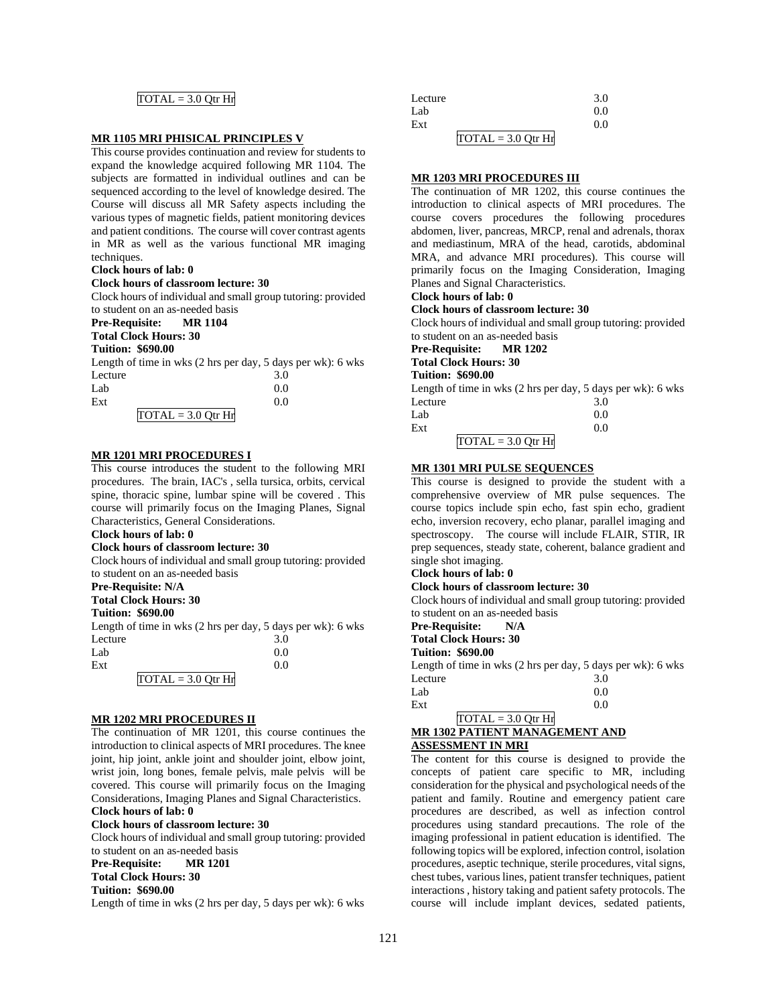# $TOTAL = 3.0 Qtr Hr$

## **MR 1105 MRI PHISICAL PRINCIPLES V**

This course provides continuation and review for students to expand the knowledge acquired following MR 1104. The subjects are formatted in individual outlines and can be sequenced according to the level of knowledge desired. The Course will discuss all MR Safety aspects including the various types of magnetic fields, patient monitoring devices and patient conditions. The course will cover contrast agents in MR as well as the various functional MR imaging techniques.

#### **Clock hours of lab: 0**

#### **Clock hours of classroom lecture: 30**

Clock hours of individual and small group tutoring: provided to student on an as-needed basis

#### **Pre-Requisite: MR 1104 Total Clock Hours: 30**

#### **Tuition: \$690.00**

Length of time in wks (2 hrs per day, 5 days per wk): 6 wks Lecture 3.0  $Lab$  0.0  $\text{Ext}$  0.0  $TOTAL = 3.0 Qtr Hr$ 

# **MR 1201 MRI PROCEDURES I**

This course introduces the student to the following MRI procedures. The brain, IAC's , sella tursica, orbits, cervical spine, thoracic spine, lumbar spine will be covered . This course will primarily focus on the Imaging Planes, Signal Characteristics, General Considerations.

## **Clock hours of lab: 0**

#### **Clock hours of classroom lecture: 30**

Clock hours of individual and small group tutoring: provided to student on an as-needed basis

#### **Pre-Requisite: N/A**

**Total Clock Hours: 30**

#### **Tuition: \$690.00**

Length of time in wks (2 hrs per day, 5 days per wk): 6 wks Lecture 3.0

| Lab |                                 | 0.0 |
|-----|---------------------------------|-----|
| Ext |                                 | 0.0 |
|     | $\overline{TOTAL} = 3.0$ Qtr Hr |     |

# **MR 1202 MRI PROCEDURES II**

The continuation of MR 1201, this course continues the introduction to clinical aspects of MRI procedures. The knee joint, hip joint, ankle joint and shoulder joint, elbow joint, wrist join, long bones, female pelvis, male pelvis will be covered. This course will primarily focus on the Imaging Considerations, Imaging Planes and Signal Characteristics. **Clock hours of lab: 0** 

#### **Clock hours of classroom lecture: 30**

Clock hours of individual and small group tutoring: provided to student on an as-needed basis

**Pre-Requisite: MR 1201**

# **Total Clock Hours: 30**

**Tuition: \$690.00**

Length of time in wks (2 hrs per day, 5 days per wk): 6 wks

| Lecture              | 3.0 |
|----------------------|-----|
| Lab                  | 0.0 |
| Ext                  | 0.0 |
| $TOTAL = 3.0 Qtr Hr$ |     |

#### **MR 1203 MRI PROCEDURES III**

The continuation of MR 1202, this course continues the introduction to clinical aspects of MRI procedures. The course covers procedures the following procedures abdomen, liver, pancreas, MRCP, renal and adrenals, thorax and mediastinum, MRA of the head, carotids, abdominal MRA, and advance MRI procedures). This course will primarily focus on the Imaging Consideration, Imaging Planes and Signal Characteristics.

# **Clock hours of lab: 0**

**Clock hours of classroom lecture: 30**

Clock hours of individual and small group tutoring: provided to student on an as-needed basis

**Pre-Requisite: MR 1202**

## **Total Clock Hours: 30**

**Tuition: \$690.00**

Length of time in wks (2 hrs per day, 5 days per wk): 6 wks Lecture 3.0  $Lab$  0.0  $\text{Ext}$  0.0

## $TOTAL = 3.0 Qtr Hr$

## **MR 1301 MRI PULSE SEQUENCES**

This course is designed to provide the student with a comprehensive overview of MR pulse sequences. The course topics include spin echo, fast spin echo, gradient echo, inversion recovery, echo planar, parallel imaging and spectroscopy. The course will include FLAIR, STIR, IR prep sequences, steady state, coherent, balance gradient and single shot imaging.

# **Clock hours of lab: 0**

# **Clock hours of classroom lecture: 30**

Clock hours of individual and small group tutoring: provided to student on an as-needed basis

#### **Pre-Requisite: N/A**

**Total Clock Hours: 30**

#### **Tuition: \$690.00**

Length of time in wks (2 hrs per day, 5 days per wk): 6 wks Lecture 3.0

| Lab | 0.0 |
|-----|-----|
| Ext | 0.0 |

#### $TOTAL = 3.0 Qtr Hr$ **MR 1302 PATIENT MANAGEMENT AND ASSESSMENT IN MRI**

The content for this course is designed to provide the concepts of patient care specific to MR, including consideration for the physical and psychological needs of the patient and family. Routine and emergency patient care procedures are described, as well as infection control procedures using standard precautions. The role of the imaging professional in patient education is identified. The following topics will be explored, infection control, isolation procedures, aseptic technique, sterile procedures, vital signs, chest tubes, various lines, patient transfer techniques, patient interactions , history taking and patient safety protocols. The course will include implant devices, sedated patients,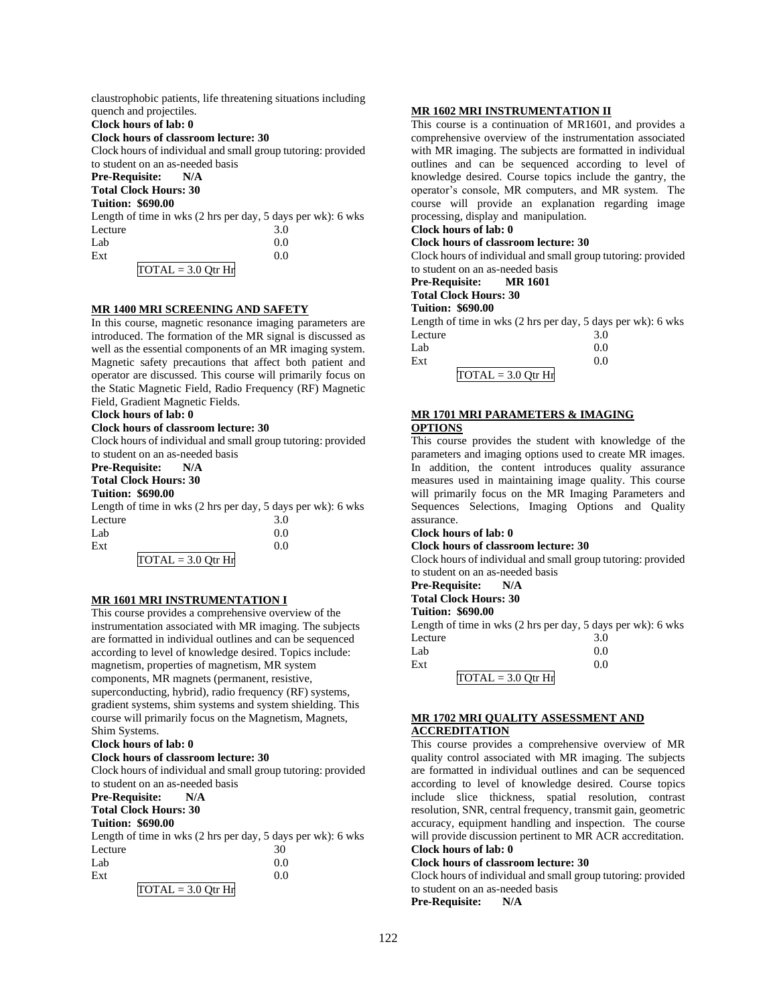| claustrophobic patients, life threatening situations including |
|----------------------------------------------------------------|
| quench and projectiles.                                        |
| Clock hours of lab: 0                                          |
| Clock hours of classroom lecture: 30                           |
| Clock hours of individual and small group tutoring: provided   |
| to student on an as-needed basis                               |
| <b>Pre-Requisite:</b> N/A                                      |
| <b>Total Clock Hours: 30</b>                                   |
| <b>Tuition: \$690.00</b>                                       |
| Length of time in wks (2 hrs per day, 5 days per wk): 6 wks    |
| 3.0<br>Lecture                                                 |
| 0.0<br>Lab                                                     |
| Ext<br>0.0                                                     |
| $TOTAL = 3.0$ Otr $Hr$                                         |

#### **MR 1400 MRI SCREENING AND SAFETY**

In this course, magnetic resonance imaging parameters are introduced. The formation of the MR signal is discussed as well as the essential components of an MR imaging system. Magnetic safety precautions that affect both patient and operator are discussed. This course will primarily focus on the Static Magnetic Field, Radio Frequency (RF) Magnetic Field, Gradient Magnetic Fields.

#### **Clock hours of lab: 0**

#### **Clock hours of classroom lecture: 30**

Clock hours of individual and small group tutoring: provided to student on an as-needed basis

# **Pre-Requisite: N/A**

**Total Clock Hours: 30**

## **Tuition: \$690.00**

Length of time in wks (2 hrs per day, 5 days per wk): 6 wks Lecture 3.0  $Lab$  0.0  $\text{Ext}$  0.0

 $TOTAL = 3.0 Qtr Hr$ 

#### **MR 1601 MRI INSTRUMENTATION I**

This course provides a comprehensive overview of the instrumentation associated with MR imaging. The subjects are formatted in individual outlines and can be sequenced according to level of knowledge desired. Topics include: magnetism, properties of magnetism, MR system components, MR magnets (permanent, resistive, superconducting, hybrid), radio frequency (RF) systems, gradient systems, shim systems and system shielding. This course will primarily focus on the Magnetism, Magnets, Shim Systems.

#### **Clock hours of lab: 0**

#### **Clock hours of classroom lecture: 30**

Clock hours of individual and small group tutoring: provided to student on an as-needed basis

# **Pre-Requisite: N/A**

**Total Clock Hours: 30**

# **Tuition: \$690.00**

Length of time in wks (2 hrs per day, 5 days per wk): 6 wks Lecture  $30$  $Lab$  0.0  $\text{Ext}$  0.0

#### $TOTAL = 3.0 Qtr Hr$

#### **MR 1602 MRI INSTRUMENTATION II**

This course is a continuation of MR1601, and provides a comprehensive overview of the instrumentation associated with MR imaging. The subjects are formatted in individual outlines and can be sequenced according to level of knowledge desired. Course topics include the gantry, the operator's console, MR computers, and MR system. The course will provide an explanation regarding image processing, display and manipulation.

# **Clock hours of lab: 0**

#### **Clock hours of classroom lecture: 30**

Clock hours of individual and small group tutoring: provided to student on an as-needed basis

**Pre-Requisite: MR 1601 Total Clock Hours: 30**

# **Tuition: \$690.00**

Length of time in wks (2 hrs per day, 5 days per wk): 6 wks Lecture 3.0

| Lab |                                 | 0.0 |
|-----|---------------------------------|-----|
| Ext |                                 | 0.0 |
|     | $\overline{TOTAL} = 3.0$ Qtr Hr |     |

## **MR 1701 MRI PARAMETERS & IMAGING**

#### **OPTIONS**

This course provides the student with knowledge of the parameters and imaging options used to create MR images. In addition, the content introduces quality assurance measures used in maintaining image quality. This course will primarily focus on the MR Imaging Parameters and Sequences Selections, Imaging Options and Quality assurance.

# **Clock hours of lab: 0**

#### **Clock hours of classroom lecture: 30**

Clock hours of individual and small group tutoring: provided to student on an as-needed basis

- **Pre-Requisite: N/A**
- **Total Clock Hours: 30**

# **Tuition: \$690.00**

Length of time in wks (2 hrs per day, 5 days per wk): 6 wks Lecture 3.0

| Lab |                                             | 0.0 |
|-----|---------------------------------------------|-----|
| Ext |                                             | 0.0 |
|     | $\text{TOTAL} = 3.0 \text{ Qtr} \text{ Hr}$ |     |

#### **MR 1702 MRI QUALITY ASSESSMENT AND ACCREDITATION**

This course provides a comprehensive overview of MR quality control associated with MR imaging. The subjects are formatted in individual outlines and can be sequenced according to level of knowledge desired. Course topics include slice thickness, spatial resolution, contrast resolution, SNR, central frequency, transmit gain, geometric accuracy, equipment handling and inspection. The course will provide discussion pertinent to MR ACR accreditation. **Clock hours of lab: 0** 

#### **Clock hours of classroom lecture: 30**

Clock hours of individual and small group tutoring: provided to student on an as-needed basis **Pre-Requisite: N/A**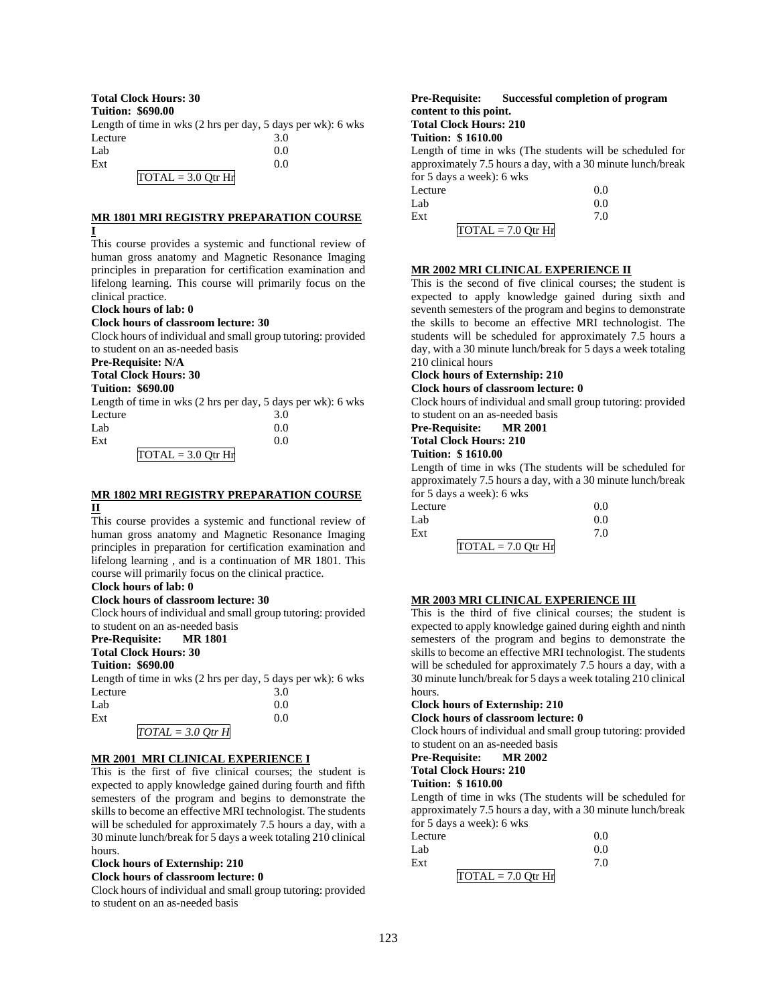# **Total Clock Hours: 30**

**Tuition: \$690.00**

Length of time in wks (2 hrs per day, 5 days per wk): 6 wks Lecture 3.0  $Lab$  0.0  $\text{Ext}$  0.0  $TOTAL = 3.0 Qtr Hr$ 

## **MR 1801 MRI REGISTRY PREPARATION COURSE I**

This course provides a systemic and functional review of human gross anatomy and Magnetic Resonance Imaging principles in preparation for certification examination and lifelong learning. This course will primarily focus on the clinical practice.

#### **Clock hours of lab: 0**

## **Clock hours of classroom lecture: 30**

Clock hours of individual and small group tutoring: provided to student on an as-needed basis

# **Pre-Requisite: N/A**

**Total Clock Hours: 30**

# **Tuition: \$690.00**

Length of time in wks (2 hrs per day, 5 days per wk): 6 wks Lecture 3.0  $Lab$  0.0

| Ext |                      |  |
|-----|----------------------|--|
|     | $TOTAL = 3.0$ Otr Hr |  |

## **MR 1802 MRI REGISTRY PREPARATION COURSE II**

This course provides a systemic and functional review of human gross anatomy and Magnetic Resonance Imaging principles in preparation for certification examination and lifelong learning , and is a continuation of MR 1801. This course will primarily focus on the clinical practice.

# **Clock hours of lab: 0**

## **Clock hours of classroom lecture: 30**

Clock hours of individual and small group tutoring: provided to student on an as-needed basis

#### **Pre-Requisite: MR 1801**

**Total Clock Hours: 30**

# **Tuition: \$690.00**

Length of time in wks (2 hrs per day, 5 days per wk): 6 wks Lecture 3.0

| Lab |                     | 0.0 |
|-----|---------------------|-----|
| Ext |                     | 0.0 |
|     | $TOTAL = 3.0 Qtr H$ |     |

# **MR 2001 MRI CLINICAL EXPERIENCE I**

This is the first of five clinical courses; the student is expected to apply knowledge gained during fourth and fifth semesters of the program and begins to demonstrate the skills to become an effective MRI technologist. The students will be scheduled for approximately 7.5 hours a day, with a 30 minute lunch/break for 5 days a week totaling 210 clinical hours.

#### **Clock hours of Externship: 210**

#### **Clock hours of classroom lecture: 0**

Clock hours of individual and small group tutoring: provided to student on an as-needed basis

## **Pre-Requisite: Successful completion of program content to this point. Total Clock Hours: 210**

# **Tuition: \$ 1610.00**

Length of time in wks (The students will be scheduled for approximately 7.5 hours a day, with a 30 minute lunch/break for 5 days a week): 6 wks

| Lecture              | 0.0 |
|----------------------|-----|
| Lab                  | 0.0 |
| Ext                  | 7.0 |
| $TOTAL = 7.0 Qtr Hr$ |     |

### **MR 2002 MRI CLINICAL EXPERIENCE II**

This is the second of five clinical courses; the student is expected to apply knowledge gained during sixth and seventh semesters of the program and begins to demonstrate the skills to become an effective MRI technologist. The students will be scheduled for approximately 7.5 hours a day, with a 30 minute lunch/break for 5 days a week totaling 210 clinical hours

# **Clock hours of Externship: 210**

**Clock hours of classroom lecture: 0**

Clock hours of individual and small group tutoring: provided to student on an as-needed basis

#### **Pre-Requisite: MR 2001 Total Clock Hours: 210 Tuition: \$ 1610.00**

Length of time in wks (The students will be scheduled for approximately 7.5 hours a day, with a 30 minute lunch/break for 5 days a week): 6 wks

| Lecture              | 0.0 |
|----------------------|-----|
| Lab                  | 0.0 |
| Ext                  | 7.0 |
| $TOTAL = 7.0 Qtr Hr$ |     |

### **MR 2003 MRI CLINICAL EXPERIENCE III**

This is the third of five clinical courses; the student is expected to apply knowledge gained during eighth and ninth semesters of the program and begins to demonstrate the skills to become an effective MRI technologist. The students will be scheduled for approximately 7.5 hours a day, with a 30 minute lunch/break for 5 days a week totaling 210 clinical hours.

#### **Clock hours of Externship: 210 Clock hours of classroom lecture: 0**

Clock hours of individual and small group tutoring: provided to student on an as-needed basis

# **Pre-Requisite: MR 2002 Total Clock Hours: 210**

**Tuition: \$ 1610.00**

Length of time in wks (The students will be scheduled for approximately 7.5 hours a day, with a 30 minute lunch/break for 5 days a week): 6 wks

| Lecture              | 0.0 |
|----------------------|-----|
| Lab                  | 0.0 |
| Ext                  | 7.0 |
| $TOTAL = 7.0 Qtr Hr$ |     |